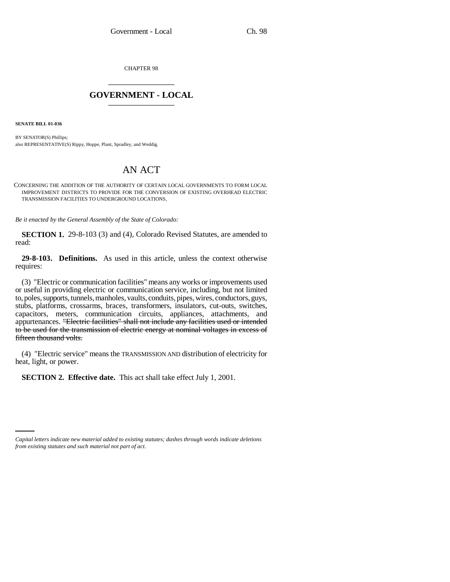CHAPTER 98 \_\_\_\_\_\_\_\_\_\_\_\_\_\_\_

## **GOVERNMENT - LOCAL** \_\_\_\_\_\_\_\_\_\_\_\_\_\_\_

**SENATE BILL 01-036**

BY SENATOR(S) Phillips; also REPRESENTATIVE(S) Rippy, Hoppe, Plant, Spradley, and Weddig.

## AN ACT

CONCERNING THE ADDITION OF THE AUTHORITY OF CERTAIN LOCAL GOVERNMENTS TO FORM LOCAL IMPROVEMENT DISTRICTS TO PROVIDE FOR THE CONVERSION OF EXISTING OVERHEAD ELECTRIC TRANSMISSION FACILITIES TO UNDERGROUND LOCATIONS.

*Be it enacted by the General Assembly of the State of Colorado:*

**SECTION 1.** 29-8-103 (3) and (4), Colorado Revised Statutes, are amended to read:

**29-8-103. Definitions.** As used in this article, unless the context otherwise requires:

(3) "Electric or communication facilities" means any works or improvements used or useful in providing electric or communication service, including, but not limited to, poles, supports, tunnels, manholes, vaults, conduits, pipes, wires, conductors, guys, stubs, platforms, crossarms, braces, transformers, insulators, cut-outs, switches, capacitors, meters, communication circuits, appliances, attachments, and appurtenances. "Electric facilities" shall not include any facilities used or intended to be used for the transmission of electric energy at nominal voltages in excess of fifteen thousand volts.

(4) "Electric service" means the TRANSMISSION AND distribution of electricity for heat, light, or power.

**SECTION 2. Effective date.** This act shall take effect July 1, 2001.

*Capital letters indicate new material added to existing statutes; dashes through words indicate deletions from existing statutes and such material not part of act.*